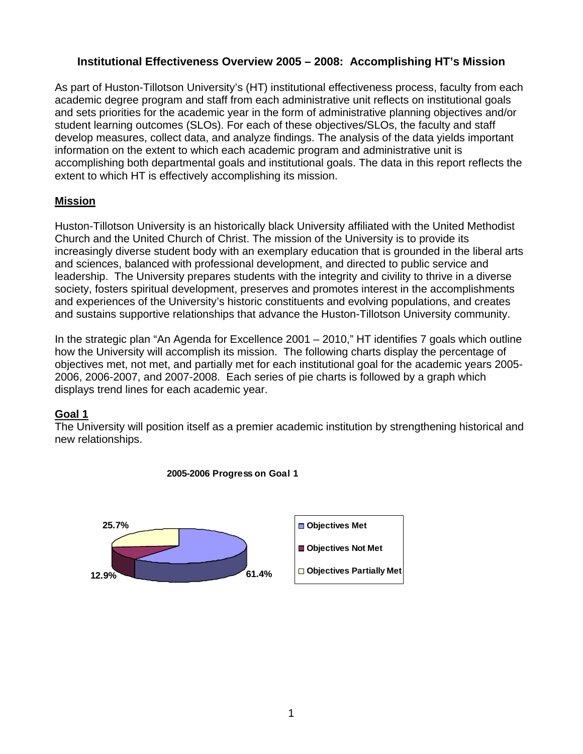## **Institutional Effectiveness Overview 2005 – 2008: Accomplishing HT's Mission**

As part of Huston-Tillotson University's (HT) institutional effectiveness process, faculty from each academic degree program and staff from each administrative unit reflects on institutional goals and sets priorities for the academic year in the form of administrative planning objectives and/or student learning outcomes (SLOs). For each of these objectives/SLOs, the faculty and staff develop measures, collect data, and analyze findings. The analysis of the data yields important information on the extent to which each academic program and administrative unit is accomplishing both departmental goals and institutional goals. The data in this report reflects the extent to which HT is effectively accomplishing its mission.

## **Mission**

Huston-Tillotson University is an historically black University affiliated with the United Methodist Church and the United Church of Christ. The mission of the University is to provide its increasingly diverse student body with an exemplary education that is grounded in the liberal arts and sciences, balanced with professional development, and directed to public service and leadership. The University prepares students with the integrity and civility to thrive in a diverse society, fosters spiritual development, preserves and promotes interest in the accomplishments and experiences of the University's historic constituents and evolving populations, and creates and sustains supportive relationships that advance the Huston-Tillotson University community.

In the strategic plan "An Agenda for Excellence 2001 – 2010," HT identifies 7 goals which outline how the University will accomplish its mission. The following charts display the percentage of objectives met, not met, and partially met for each institutional goal for the academic years 2005- 2006, 2006-2007, and 2007-2008. Each series of pie charts is followed by a graph which displays trend lines for each academic year.

## **Goal 1**

The University will position itself as a premier academic institution by strengthening historical and new relationships.



#### **2005-2006 Progress on Goal 1**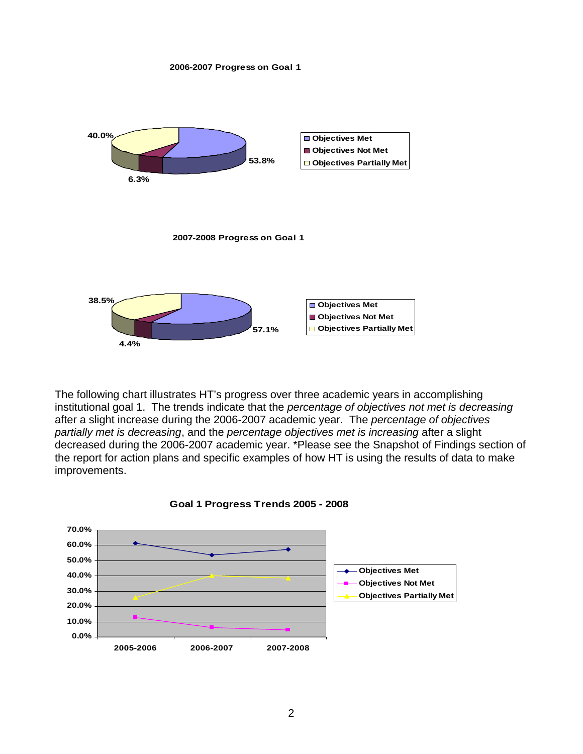



The following chart illustrates HT's progress over three academic years in accomplishing institutional goal 1. The trends indicate that the *percentage of objectives not met is decreasing* after a slight increase during the 2006-2007 academic year. The *percentage of objectives partially met is decreasing*, and the *percentage objectives met is increasing* after a slight decreased during the 2006-2007 academic year. \*Please see the Snapshot of Findings section of the report for action plans and specific examples of how HT is using the results of data to make improvements.



#### **Goal 1 Progress Trends 2005 - 2008**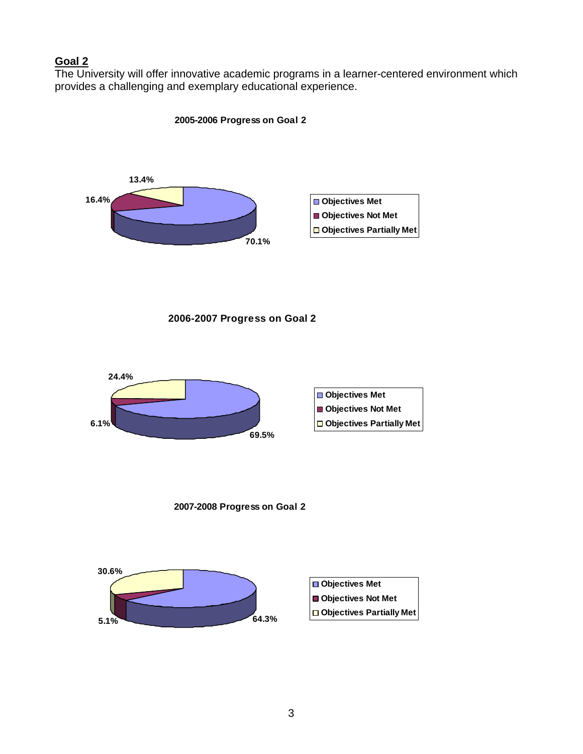## **Goal 2**

The University will offer innovative academic programs in a learner-centered environment which provides a challenging and exemplary educational experience.

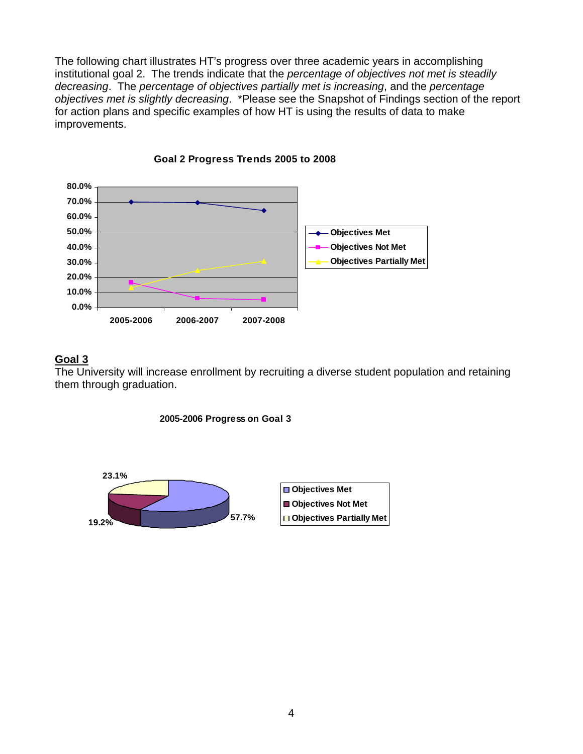The following chart illustrates HT's progress over three academic years in accomplishing institutional goal 2. The trends indicate that the *percentage of objectives not met is steadily decreasing*. The *percentage of objectives partially met is increasing*, and the *percentage objectives met is slightly decreasing*. \*Please see the Snapshot of Findings section of the report for action plans and specific examples of how HT is using the results of data to make improvements.



#### **Goal 2 Progress Trends 2005 to 2008**

#### **Goal 3**

The University will increase enrollment by recruiting a diverse student population and retaining them through graduation.



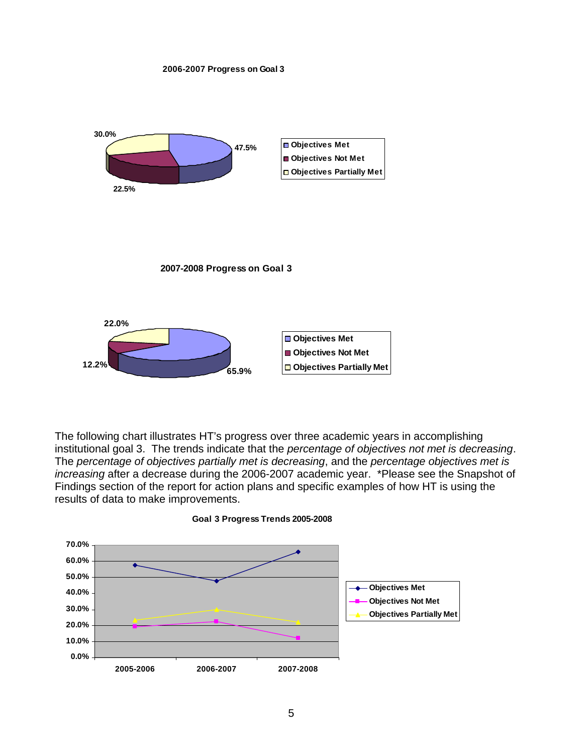



The following chart illustrates HT's progress over three academic years in accomplishing institutional goal 3. The trends indicate that the *percentage of objectives not met is decreasing*. The *percentage of objectives partially met is decreasing*, and the *percentage objectives met is increasing* after a decrease during the 2006-2007 academic year. \*Please see the Snapshot of Findings section of the report for action plans and specific examples of how HT is using the results of data to make improvements.



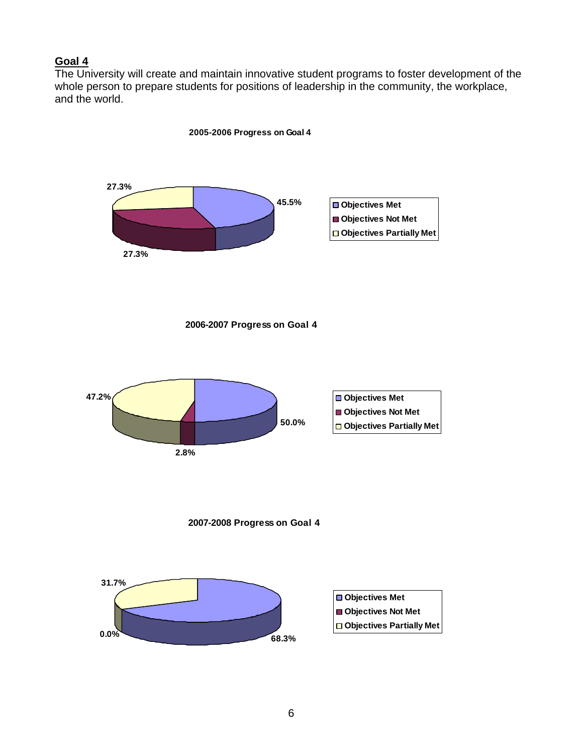#### **Goal 4**

The University will create and maintain innovative student programs to foster development of the whole person to prepare students for positions of leadership in the community, the workplace, and the world.

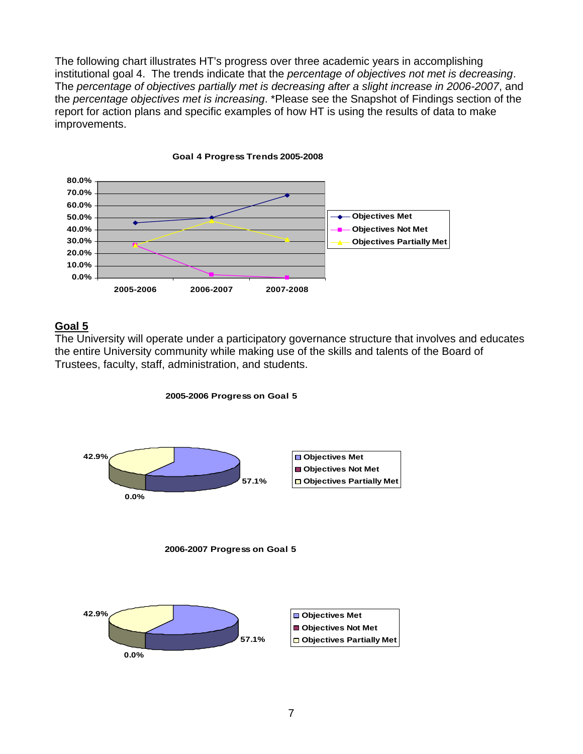The following chart illustrates HT's progress over three academic years in accomplishing institutional goal 4. The trends indicate that the *percentage of objectives not met is decreasing*. The *percentage of objectives partially met is decreasing after a slight increase in 2006-2007*, and the *percentage objectives met is increasing*. \*Please see the Snapshot of Findings section of the report for action plans and specific examples of how HT is using the results of data to make improvements.



#### **Goal 4 Progress Trends 2005-2008**

#### **Goal 5**

The University will operate under a participatory governance structure that involves and educates the entire University community while making use of the skills and talents of the Board of Trustees, faculty, staff, administration, and students.



**2005-2006 Progress on Goal 5**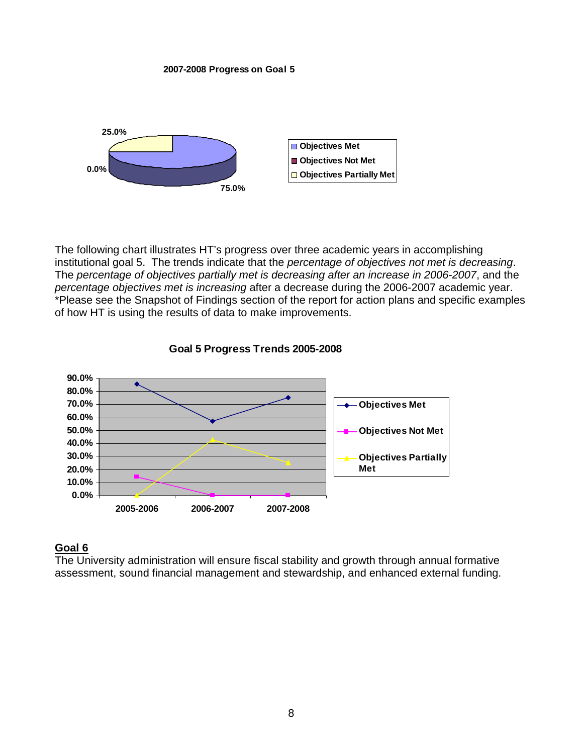**2007-2008 Progress on Goal 5**



The following chart illustrates HT's progress over three academic years in accomplishing institutional goal 5. The trends indicate that the *percentage of objectives not met is decreasing*. The *percentage of objectives partially met is decreasing after an increase in 2006-2007*, and the *percentage objectives met is increasing* after a decrease during the 2006-2007 academic year. \*Please see the Snapshot of Findings section of the report for action plans and specific examples of how HT is using the results of data to make improvements.



#### **Goal 5 Progress Trends 2005-2008**

#### **Goal 6**

The University administration will ensure fiscal stability and growth through annual formative assessment, sound financial management and stewardship, and enhanced external funding.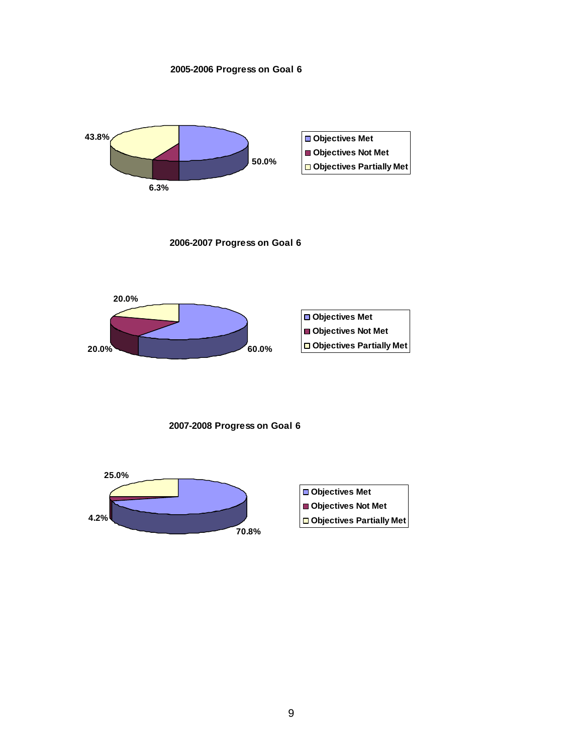**2005-2006 Progress on Goal 6**



**2006-2007 Progress on Goal 6**



**2007-2008 Progress on Goal 6**

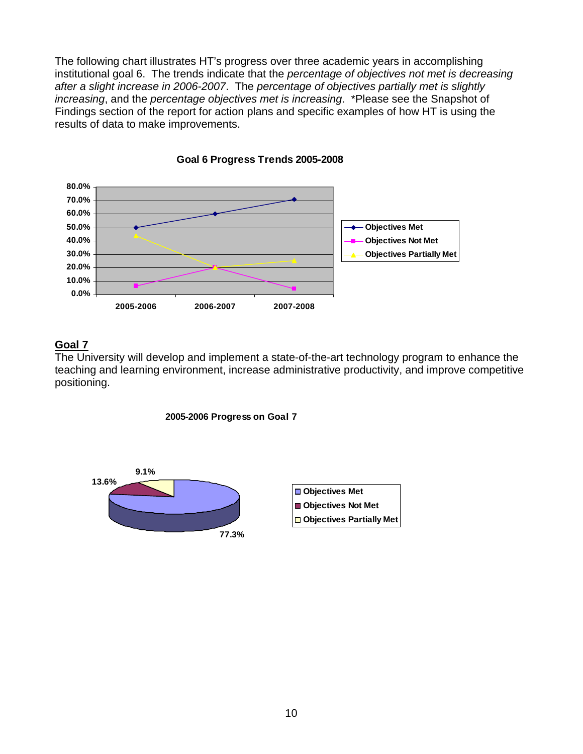The following chart illustrates HT's progress over three academic years in accomplishing institutional goal 6. The trends indicate that the *percentage of objectives not met is decreasing after a slight increase in 2006-2007*. The *percentage of objectives partially met is slightly increasing*, and the *percentage objectives met is increasing*. \*Please see the Snapshot of Findings section of the report for action plans and specific examples of how HT is using the results of data to make improvements.



**Goal 6 Progress Trends 2005-2008**

# **Goal 7**

The University will develop and implement a state-of-the-art technology program to enhance the teaching and learning environment, increase administrative productivity, and improve competitive positioning.



**2005-2006 Progress on Goal 7**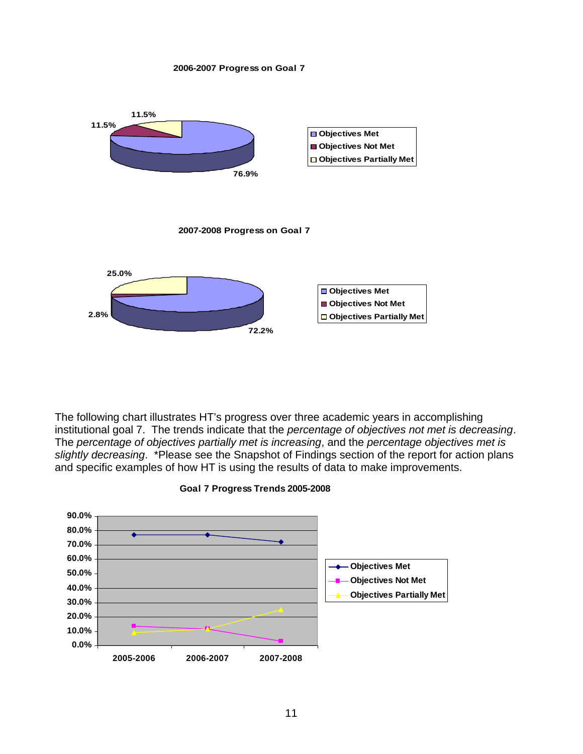#### **2006-2007 Progress on Goal 7**



The following chart illustrates HT's progress over three academic years in accomplishing institutional goal 7. The trends indicate that the *percentage of objectives not met is decreasing*. The *percentage of objectives partially met is increasing*, and the *percentage objectives met is slightly decreasing*. \*Please see the Snapshot of Findings section of the report for action plans and specific examples of how HT is using the results of data to make improvements.



**Goal 7 Progress Trends 2005-2008**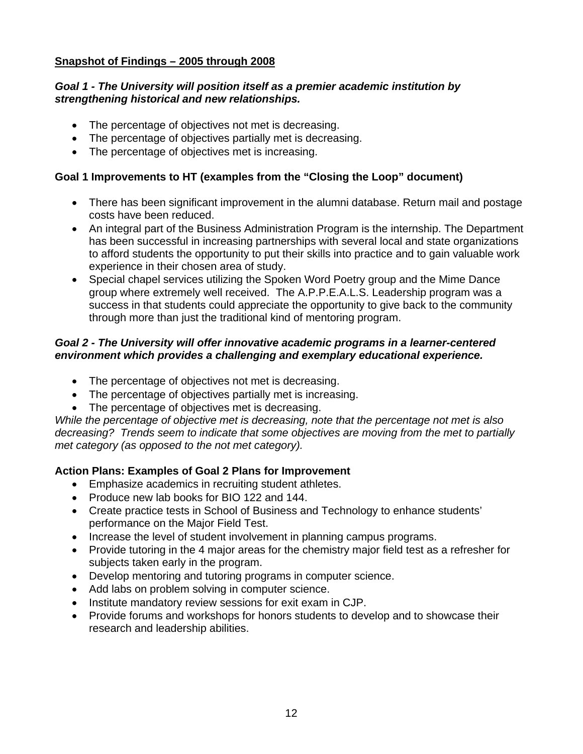## **Snapshot of Findings – 2005 through 2008**

### *Goal 1 - The University will position itself as a premier academic institution by strengthening historical and new relationships.*

- The percentage of objectives not met is decreasing.
- The percentage of objectives partially met is decreasing.
- The percentage of objectives met is increasing.

# **Goal 1 Improvements to HT (examples from the "Closing the Loop" document)**

- There has been significant improvement in the alumni database. Return mail and postage costs have been reduced.
- An integral part of the Business Administration Program is the internship. The Department has been successful in increasing partnerships with several local and state organizations to afford students the opportunity to put their skills into practice and to gain valuable work experience in their chosen area of study.
- Special chapel services utilizing the Spoken Word Poetry group and the Mime Dance group where extremely well received. The A.P.P.E.A.L.S. Leadership program was a success in that students could appreciate the opportunity to give back to the community through more than just the traditional kind of mentoring program.

## *Goal 2 - The University will offer innovative academic programs in a learner-centered environment which provides a challenging and exemplary educational experience.*

- The percentage of objectives not met is decreasing.
- The percentage of objectives partially met is increasing.
- The percentage of objectives met is decreasing.

*While the percentage of objective met is decreasing, note that the percentage not met is also decreasing? Trends seem to indicate that some objectives are moving from the met to partially met category (as opposed to the not met category).* 

## **Action Plans: Examples of Goal 2 Plans for Improvement**

- Emphasize academics in recruiting student athletes.
- Produce new lab books for BIO 122 and 144.
- Create practice tests in School of Business and Technology to enhance students' performance on the Major Field Test.
- Increase the level of student involvement in planning campus programs.
- Provide tutoring in the 4 major areas for the chemistry major field test as a refresher for subjects taken early in the program.
- Develop mentoring and tutoring programs in computer science.
- Add labs on problem solving in computer science.
- Institute mandatory review sessions for exit exam in CJP.
- Provide forums and workshops for honors students to develop and to showcase their research and leadership abilities.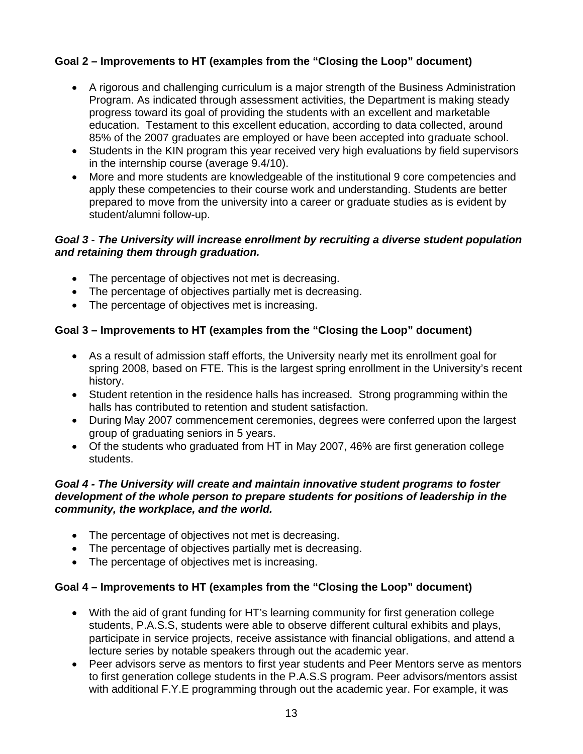# **Goal 2 – Improvements to HT (examples from the "Closing the Loop" document)**

- A rigorous and challenging curriculum is a major strength of the Business Administration Program. As indicated through assessment activities, the Department is making steady progress toward its goal of providing the students with an excellent and marketable education. Testament to this excellent education, according to data collected, around 85% of the 2007 graduates are employed or have been accepted into graduate school.
- Students in the KIN program this year received very high evaluations by field supervisors in the internship course (average 9.4/10).
- More and more students are knowledgeable of the institutional 9 core competencies and apply these competencies to their course work and understanding. Students are better prepared to move from the university into a career or graduate studies as is evident by student/alumni follow-up.

## *Goal 3 - The University will increase enrollment by recruiting a diverse student population and retaining them through graduation.*

- The percentage of objectives not met is decreasing.
- The percentage of objectives partially met is decreasing.
- The percentage of objectives met is increasing.

# **Goal 3 – Improvements to HT (examples from the "Closing the Loop" document)**

- As a result of admission staff efforts, the University nearly met its enrollment goal for spring 2008, based on FTE. This is the largest spring enrollment in the University's recent history.
- Student retention in the residence halls has increased. Strong programming within the halls has contributed to retention and student satisfaction.
- During May 2007 commencement ceremonies, degrees were conferred upon the largest group of graduating seniors in 5 years.
- Of the students who graduated from HT in May 2007, 46% are first generation college students.

#### *Goal 4 - The University will create and maintain innovative student programs to foster development of the whole person to prepare students for positions of leadership in the community, the workplace, and the world.*

- The percentage of objectives not met is decreasing.
- The percentage of objectives partially met is decreasing.
- The percentage of objectives met is increasing.

## **Goal 4 – Improvements to HT (examples from the "Closing the Loop" document)**

- With the aid of grant funding for HT's learning community for first generation college students, P.A.S.S, students were able to observe different cultural exhibits and plays, participate in service projects, receive assistance with financial obligations, and attend a lecture series by notable speakers through out the academic year.
- Peer advisors serve as mentors to first year students and Peer Mentors serve as mentors to first generation college students in the P.A.S.S program. Peer advisors/mentors assist with additional F.Y.E programming through out the academic year. For example, it was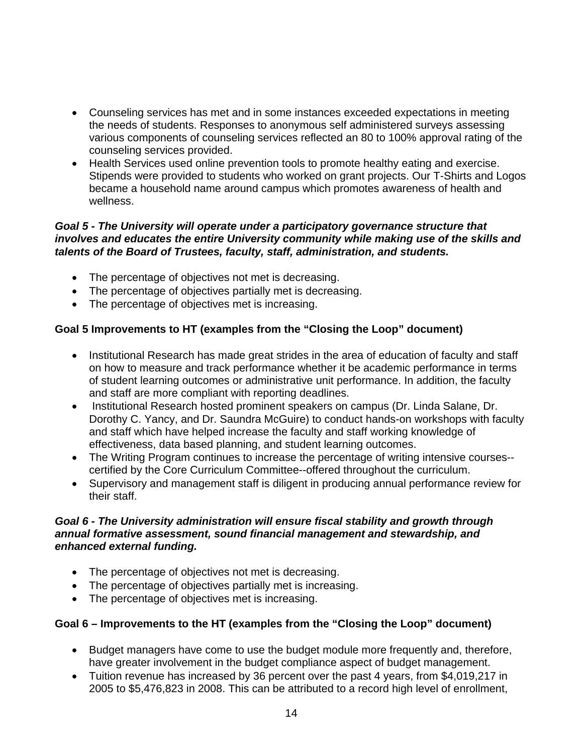- Counseling services has met and in some instances exceeded expectations in meeting the needs of students. Responses to anonymous self administered surveys assessing various components of counseling services reflected an 80 to 100% approval rating of the counseling services provided.
- Health Services used online prevention tools to promote healthy eating and exercise. Stipends were provided to students who worked on grant projects. Our T-Shirts and Logos became a household name around campus which promotes awareness of health and wellness.

## *Goal 5 - The University will operate under a participatory governance structure that involves and educates the entire University community while making use of the skills and talents of the Board of Trustees, faculty, staff, administration, and students.*

- The percentage of objectives not met is decreasing.
- The percentage of objectives partially met is decreasing.
- The percentage of objectives met is increasing.

# **Goal 5 Improvements to HT (examples from the "Closing the Loop" document)**

- Institutional Research has made great strides in the area of education of faculty and staff on how to measure and track performance whether it be academic performance in terms of student learning outcomes or administrative unit performance. In addition, the faculty and staff are more compliant with reporting deadlines.
- Institutional Research hosted prominent speakers on campus (Dr. Linda Salane, Dr. Dorothy C. Yancy, and Dr. Saundra McGuire) to conduct hands-on workshops with faculty and staff which have helped increase the faculty and staff working knowledge of effectiveness, data based planning, and student learning outcomes.
- The Writing Program continues to increase the percentage of writing intensive courses-certified by the Core Curriculum Committee--offered throughout the curriculum.
- Supervisory and management staff is diligent in producing annual performance review for their staff.

### *Goal 6 - The University administration will ensure fiscal stability and growth through annual formative assessment, sound financial management and stewardship, and enhanced external funding.*

- The percentage of objectives not met is decreasing.
- The percentage of objectives partially met is increasing.
- The percentage of objectives met is increasing.

## **Goal 6 – Improvements to the HT (examples from the "Closing the Loop" document)**

- Budget managers have come to use the budget module more frequently and, therefore, have greater involvement in the budget compliance aspect of budget management.
- Tuition revenue has increased by 36 percent over the past 4 years, from \$4,019,217 in 2005 to \$5,476,823 in 2008. This can be attributed to a record high level of enrollment,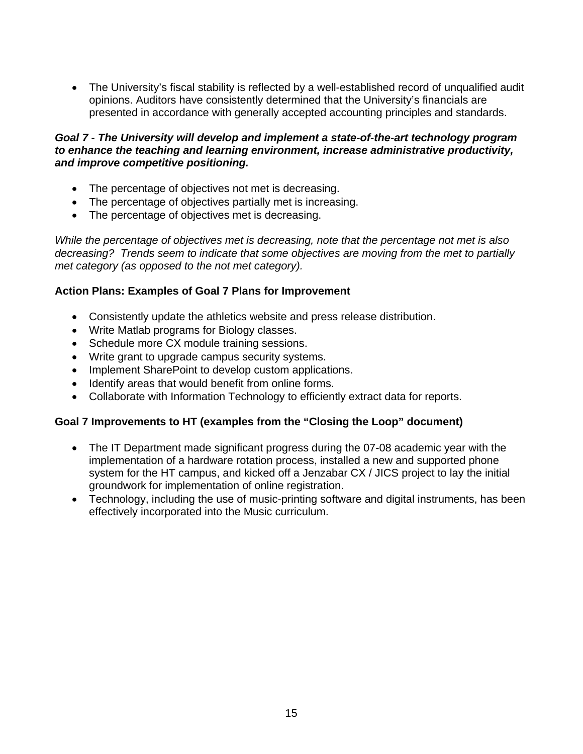The University's fiscal stability is reflected by a well-established record of unqualified audit opinions. Auditors have consistently determined that the University's financials are presented in accordance with generally accepted accounting principles and standards.

#### *Goal 7 - The University will develop and implement a state-of-the-art technology program to enhance the teaching and learning environment, increase administrative productivity, and improve competitive positioning.*

- The percentage of objectives not met is decreasing.
- The percentage of objectives partially met is increasing.
- The percentage of objectives met is decreasing.

*While the percentage of objectives met is decreasing, note that the percentage not met is also decreasing? Trends seem to indicate that some objectives are moving from the met to partially met category (as opposed to the not met category).* 

# **Action Plans: Examples of Goal 7 Plans for Improvement**

- Consistently update the athletics website and press release distribution.
- Write Matlab programs for Biology classes.
- Schedule more CX module training sessions.
- Write grant to upgrade campus security systems.
- Implement SharePoint to develop custom applications.
- Identify areas that would benefit from online forms.
- Collaborate with Information Technology to efficiently extract data for reports.

# **Goal 7 Improvements to HT (examples from the "Closing the Loop" document)**

- The IT Department made significant progress during the 07-08 academic year with the implementation of a hardware rotation process, installed a new and supported phone system for the HT campus, and kicked off a Jenzabar CX / JICS project to lay the initial groundwork for implementation of online registration.
- Technology, including the use of music-printing software and digital instruments, has been effectively incorporated into the Music curriculum.